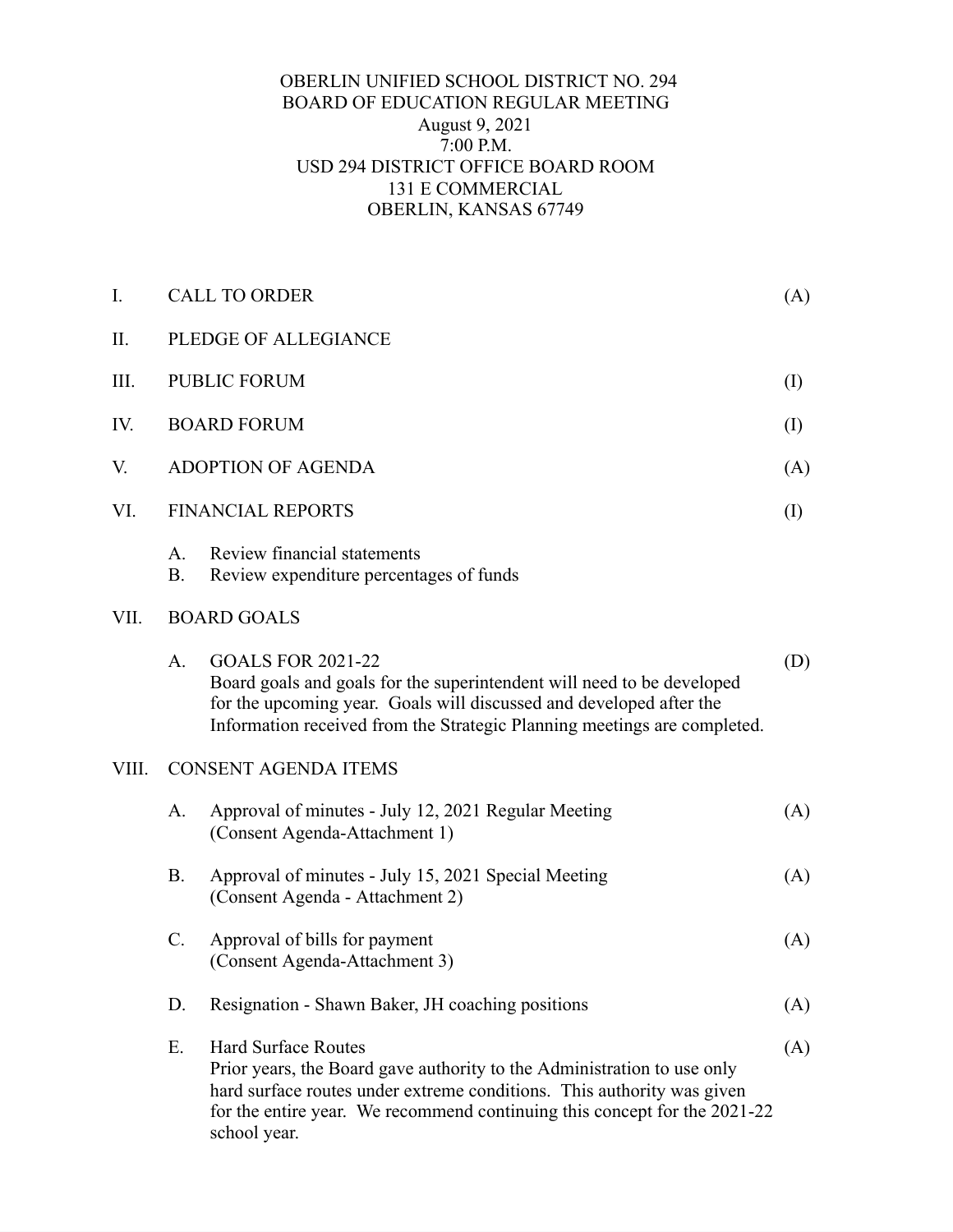## OBERLIN UNIFIED SCHOOL DISTRICT NO. 294 BOARD OF EDUCATION REGULAR MEETING August 9, 2021 7:00 P.M. USD 294 DISTRICT OFFICE BOARD ROOM 131 E COMMERCIAL OBERLIN, KANSAS 67749

| I.    |                             | <b>CALL TO ORDER</b>                                                                                                                                                                                                                                                         | (A) |  |
|-------|-----------------------------|------------------------------------------------------------------------------------------------------------------------------------------------------------------------------------------------------------------------------------------------------------------------------|-----|--|
| Π.    | PLEDGE OF ALLEGIANCE        |                                                                                                                                                                                                                                                                              |     |  |
| III.  | <b>PUBLIC FORUM</b>         |                                                                                                                                                                                                                                                                              |     |  |
| IV.   | <b>BOARD FORUM</b>          |                                                                                                                                                                                                                                                                              |     |  |
| V.    | <b>ADOPTION OF AGENDA</b>   |                                                                                                                                                                                                                                                                              | (A) |  |
| VI.   | <b>FINANCIAL REPORTS</b>    |                                                                                                                                                                                                                                                                              |     |  |
|       | A.<br><b>B.</b>             | Review financial statements<br>Review expenditure percentages of funds                                                                                                                                                                                                       |     |  |
| VII.  | <b>BOARD GOALS</b>          |                                                                                                                                                                                                                                                                              |     |  |
|       | A <sub>1</sub>              | <b>GOALS FOR 2021-22</b><br>Board goals and goals for the superintendent will need to be developed<br>for the upcoming year. Goals will discussed and developed after the<br>Information received from the Strategic Planning meetings are completed.                        | (D) |  |
| VIII. | <b>CONSENT AGENDA ITEMS</b> |                                                                                                                                                                                                                                                                              |     |  |
|       | A.                          | Approval of minutes - July 12, 2021 Regular Meeting<br>(Consent Agenda-Attachment 1)                                                                                                                                                                                         | (A) |  |
|       | <b>B.</b>                   | Approval of minutes - July 15, 2021 Special Meeting<br>(Consent Agenda - Attachment 2)                                                                                                                                                                                       | (A) |  |
|       | $\mathbf{C}$ .              | Approval of bills for payment<br>(Consent Agenda-Attachment 3)                                                                                                                                                                                                               | (A) |  |
|       | D.                          | Resignation - Shawn Baker, JH coaching positions                                                                                                                                                                                                                             | (A) |  |
|       | E.                          | <b>Hard Surface Routes</b><br>Prior years, the Board gave authority to the Administration to use only<br>hard surface routes under extreme conditions. This authority was given<br>for the entire year. We recommend continuing this concept for the 2021-22<br>school year. | (A) |  |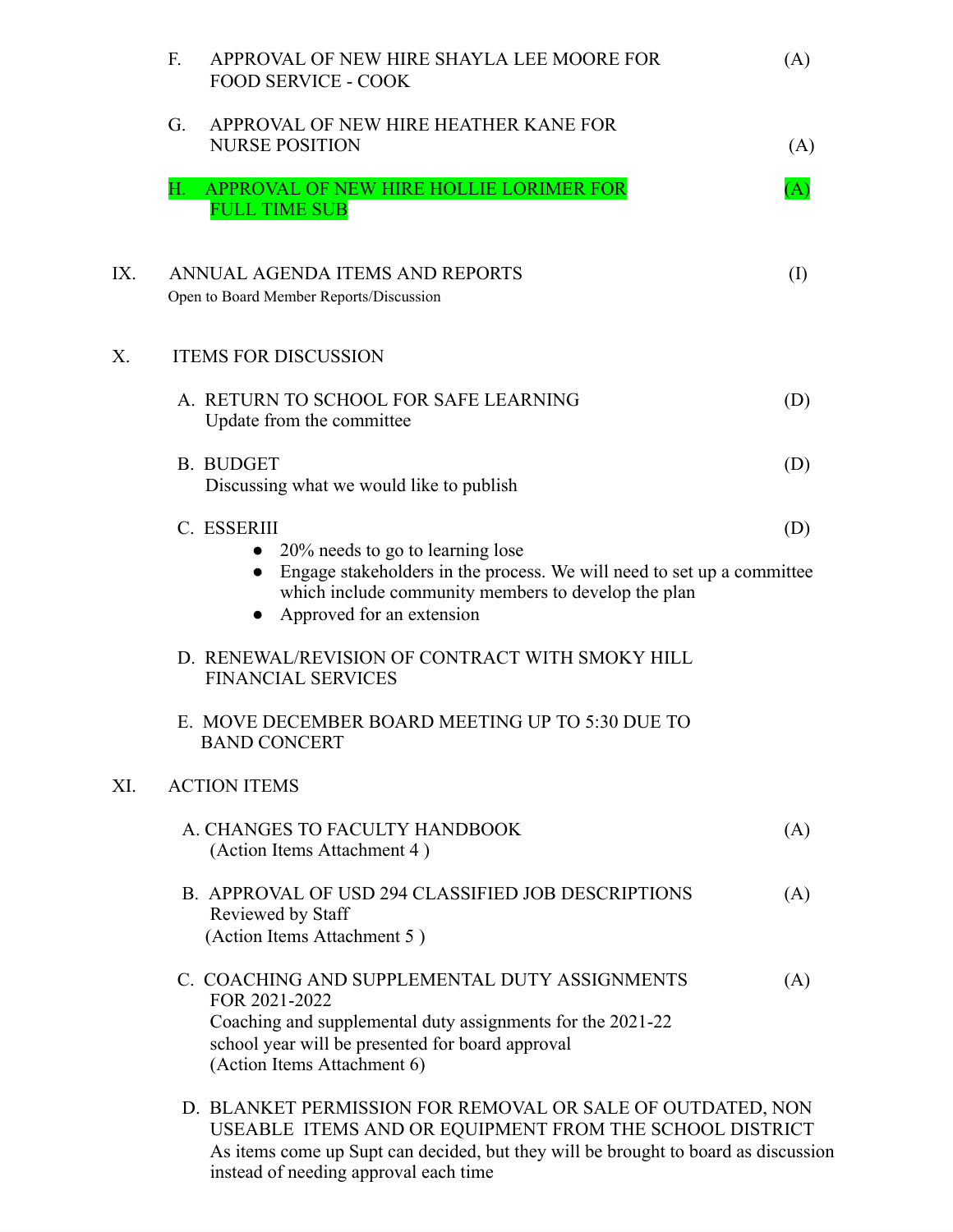|     | F.<br>APPROVAL OF NEW HIRE SHAYLA LEE MOORE FOR<br><b>FOOD SERVICE - COOK</b>                                                                                                                                              | (A)       |
|-----|----------------------------------------------------------------------------------------------------------------------------------------------------------------------------------------------------------------------------|-----------|
|     | APPROVAL OF NEW HIRE HEATHER KANE FOR<br>G.<br><b>NURSE POSITION</b>                                                                                                                                                       | (A)       |
|     | Н.<br>APPROVAL OF NEW HIRE HOLLIE LORIMER FOR<br><b>FULL TIME SUB</b>                                                                                                                                                      | (A)       |
| IX. | ANNUAL AGENDA ITEMS AND REPORTS<br>Open to Board Member Reports/Discussion                                                                                                                                                 | $\rm (I)$ |
| Х.  | <b>ITEMS FOR DISCUSSION</b>                                                                                                                                                                                                |           |
|     | A. RETURN TO SCHOOL FOR SAFE LEARNING<br>Update from the committee                                                                                                                                                         | (D)       |
|     | <b>B. BUDGET</b><br>Discussing what we would like to publish                                                                                                                                                               | (D)       |
|     | C. ESSERIII<br>20% needs to go to learning lose<br>Engage stakeholders in the process. We will need to set up a committee<br>which include community members to develop the plan<br>Approved for an extension<br>$\bullet$ | (D)       |
|     | D. RENEWAL/REVISION OF CONTRACT WITH SMOKY HILL<br><b>FINANCIAL SERVICES</b>                                                                                                                                               |           |
|     | E. MOVE DECEMBER BOARD MEETING UP TO 5:30 DUE TO<br><b>BAND CONCERT</b>                                                                                                                                                    |           |
| XI. | <b>ACTION ITEMS</b>                                                                                                                                                                                                        |           |
|     | A. CHANGES TO FACULTY HANDBOOK<br>(Action Items Attachment 4)                                                                                                                                                              | (A)       |
|     | B. APPROVAL OF USD 294 CLASSIFIED JOB DESCRIPTIONS<br>Reviewed by Staff<br>(Action Items Attachment 5)                                                                                                                     | (A)       |
|     | C. COACHING AND SUPPLEMENTAL DUTY ASSIGNMENTS<br>FOR 2021-2022<br>Coaching and supplemental duty assignments for the 2021-22<br>school year will be presented for board approval<br>(Action Items Attachment 6)            | (A)       |
|     | D. BLANKET PERMISSION FOR REMOVAL OR SALE OF OUTDATED, NON<br>USEABLE ITEMS AND OR EQUIPMENT FROM THE SCHOOL DISTRICT                                                                                                      |           |

As items come up Supt can decided, but they will be brought to board as discussion instead of needing approval each time